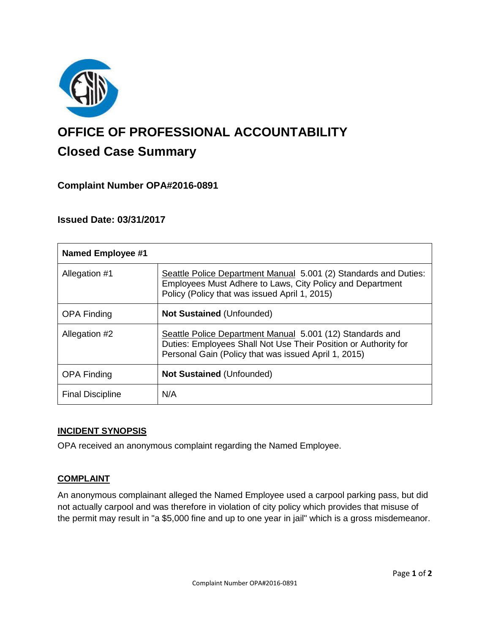

# **OFFICE OF PROFESSIONAL ACCOUNTABILITY Closed Case Summary**

## **Complaint Number OPA#2016-0891**

## **Issued Date: 03/31/2017**

| <b>Named Employee #1</b> |                                                                                                                                                                                      |
|--------------------------|--------------------------------------------------------------------------------------------------------------------------------------------------------------------------------------|
| Allegation #1            | Seattle Police Department Manual 5.001 (2) Standards and Duties:<br>Employees Must Adhere to Laws, City Policy and Department<br>Policy (Policy that was issued April 1, 2015)       |
| <b>OPA Finding</b>       | <b>Not Sustained (Unfounded)</b>                                                                                                                                                     |
| Allegation #2            | Seattle Police Department Manual 5.001 (12) Standards and<br>Duties: Employees Shall Not Use Their Position or Authority for<br>Personal Gain (Policy that was issued April 1, 2015) |
| <b>OPA Finding</b>       | <b>Not Sustained (Unfounded)</b>                                                                                                                                                     |
| <b>Final Discipline</b>  | N/A                                                                                                                                                                                  |

## **INCIDENT SYNOPSIS**

OPA received an anonymous complaint regarding the Named Employee.

## **COMPLAINT**

An anonymous complainant alleged the Named Employee used a carpool parking pass, but did not actually carpool and was therefore in violation of city policy which provides that misuse of the permit may result in "a \$5,000 fine and up to one year in jail" which is a gross misdemeanor.